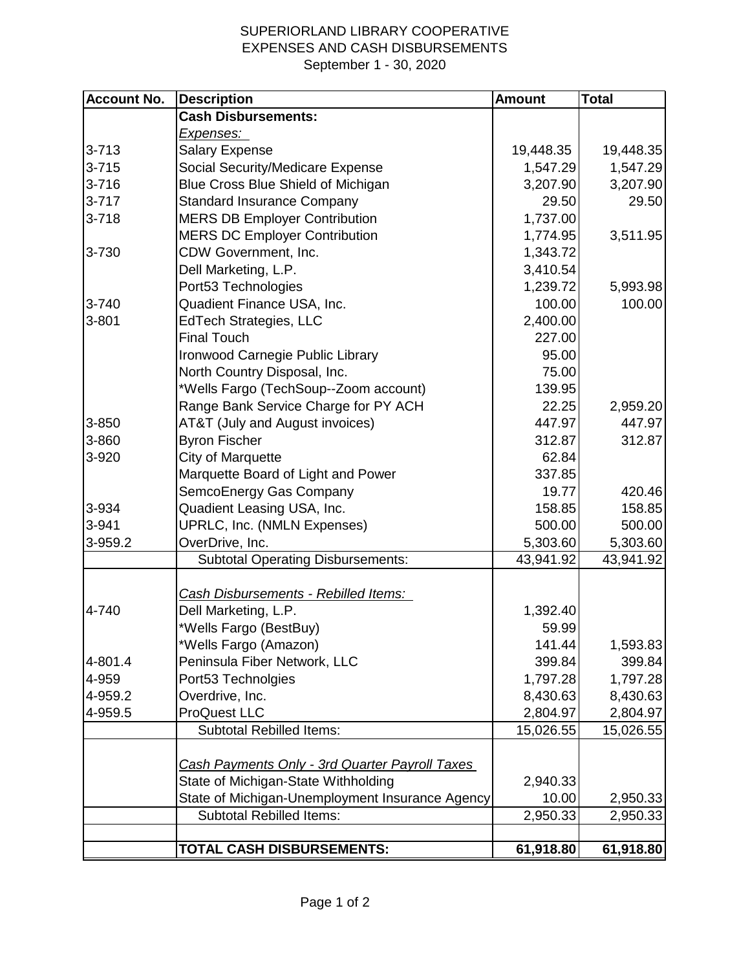## SUPERIORLAND LIBRARY COOPERATIVE EXPENSES AND CASH DISBURSEMENTS September 1 - 30, 2020

| <b>Account No.</b> | <b>Description</b>                              | <b>Amount</b> | <b>Total</b> |
|--------------------|-------------------------------------------------|---------------|--------------|
|                    | <b>Cash Disbursements:</b>                      |               |              |
|                    | <u>Expenses:</u>                                |               |              |
| $3 - 713$          | <b>Salary Expense</b>                           | 19,448.35     | 19,448.35    |
| $3 - 715$          | Social Security/Medicare Expense                | 1,547.29      | 1,547.29     |
| $3 - 716$          | Blue Cross Blue Shield of Michigan              | 3,207.90      | 3,207.90     |
| $3 - 717$          | <b>Standard Insurance Company</b>               | 29.50         | 29.50        |
| $3 - 718$          | <b>MERS DB Employer Contribution</b>            | 1,737.00      |              |
|                    | <b>MERS DC Employer Contribution</b>            | 1,774.95      | 3,511.95     |
| 3-730              | CDW Government, Inc.                            | 1,343.72      |              |
|                    | Dell Marketing, L.P.                            | 3,410.54      |              |
|                    | Port53 Technologies                             | 1,239.72      | 5,993.98     |
| 3-740              | Quadient Finance USA, Inc.                      | 100.00        | 100.00       |
| 3-801              | <b>EdTech Strategies, LLC</b>                   | 2,400.00      |              |
|                    | <b>Final Touch</b>                              | 227.00        |              |
|                    | Ironwood Carnegie Public Library                | 95.00         |              |
|                    | North Country Disposal, Inc.                    | 75.00         |              |
|                    | *Wells Fargo (TechSoup--Zoom account)           | 139.95        |              |
|                    | Range Bank Service Charge for PY ACH            | 22.25         | 2,959.20     |
| 3-850              | AT&T (July and August invoices)                 | 447.97        | 447.97       |
| 3-860              | <b>Byron Fischer</b>                            | 312.87        | 312.87       |
| 3-920              | <b>City of Marquette</b>                        | 62.84         |              |
|                    | Marquette Board of Light and Power              | 337.85        |              |
|                    | SemcoEnergy Gas Company                         | 19.77         | 420.46       |
| 3-934              | Quadient Leasing USA, Inc.                      | 158.85        | 158.85       |
| 3-941              | UPRLC, Inc. (NMLN Expenses)                     | 500.00        | 500.00       |
| 3-959.2            | OverDrive, Inc.                                 | 5,303.60      | 5,303.60     |
|                    | Subtotal Operating Disbursements:               | 43,941.92     | 43,941.92    |
|                    | Cash Disbursements - Rebilled Items:            |               |              |
| 4-740              | Dell Marketing, L.P.                            | 1,392.40      |              |
|                    | *Wells Fargo (BestBuy)                          | 59.99         |              |
|                    | *Wells Fargo (Amazon)                           | 141.44        | 1,593.83     |
| 4-801.4            | Peninsula Fiber Network, LLC                    | 399.84        | 399.84       |
| 4-959              | Port53 Technolgies                              | 1,797.28      | 1,797.28     |
| 4-959.2            | Overdrive, Inc.                                 | 8,430.63      | 8,430.63     |
| 4-959.5            | <b>ProQuest LLC</b>                             | 2,804.97      | 2,804.97     |
|                    | <b>Subtotal Rebilled Items:</b>                 | 15,026.55     | 15,026.55    |
|                    |                                                 |               |              |
|                    | Cash Payments Only - 3rd Quarter Payroll Taxes  |               |              |
|                    | State of Michigan-State Withholding             | 2,940.33      |              |
|                    | State of Michigan-Unemployment Insurance Agency | 10.00         | 2,950.33     |
|                    | <b>Subtotal Rebilled Items:</b>                 | 2,950.33      | 2,950.33     |
|                    | TOTAL CASH DISBURSEMENTS:                       | 61,918.80     | 61,918.80    |
|                    |                                                 |               |              |